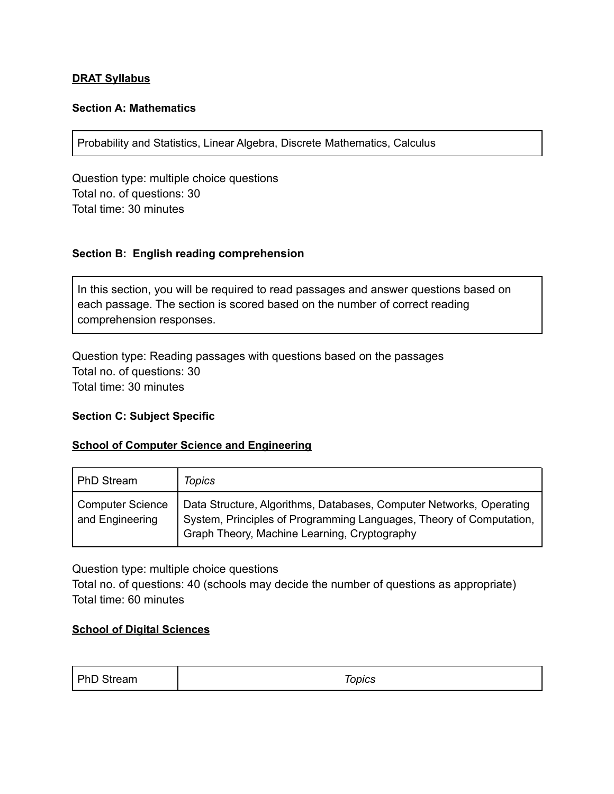#### **DRAT Syllabus**

### **Section A: Mathematics**

Probability and Statistics, Linear Algebra, Discrete Mathematics, Calculus

Question type: multiple choice questions Total no. of questions: 30 Total time: 30 minutes

#### **Section B: English reading comprehension**

In this section, you will be required to read passages and answer questions based on each passage. The section is scored based on the number of correct reading comprehension responses.

Question type: Reading passages with questions based on the passages Total no. of questions: 30 Total time: 30 minutes

#### **Section C: Subject Specific**

#### **School of Computer Science and Engineering**

| PhD Stream                          | <b>Topics</b>                                                                                                                                                                              |
|-------------------------------------|--------------------------------------------------------------------------------------------------------------------------------------------------------------------------------------------|
| Computer Science<br>and Engineering | Data Structure, Algorithms, Databases, Computer Networks, Operating<br>System, Principles of Programming Languages, Theory of Computation,<br>Graph Theory, Machine Learning, Cryptography |

Question type: multiple choice questions

Total no. of questions: 40 (schools may decide the number of questions as appropriate) Total time: 60 minutes

#### **School of Digital Sciences**

| PhD Stream | Topics |
|------------|--------|
|------------|--------|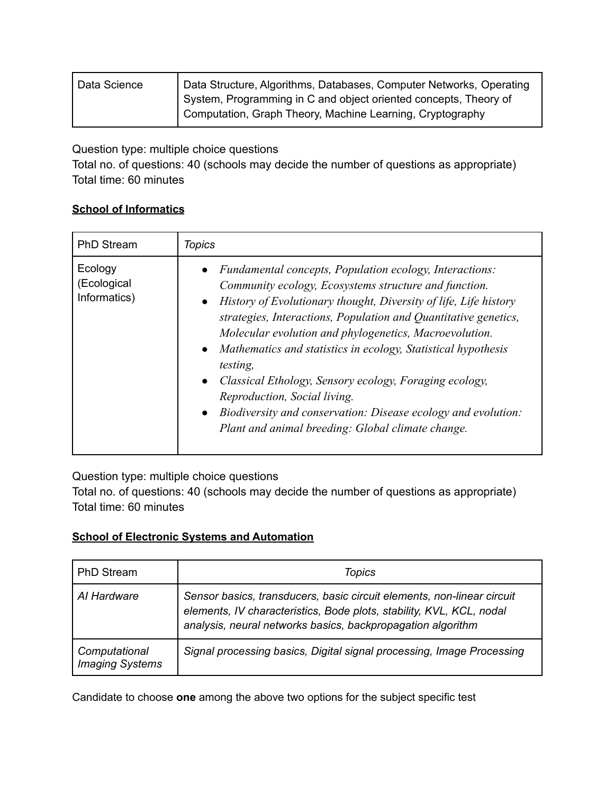| Data Science | Data Structure, Algorithms, Databases, Computer Networks, Operating |
|--------------|---------------------------------------------------------------------|
|              | System, Programming in C and object oriented concepts, Theory of    |
|              | Computation, Graph Theory, Machine Learning, Cryptography           |

Question type: multiple choice questions

Total no. of questions: 40 (schools may decide the number of questions as appropriate) Total time: 60 minutes

## **School of Informatics**

| <b>PhD Stream</b>                      | <b>Topics</b>                                                                                                                                                                                                                                                                                                                                                                                                                                                                                                                                                                                                                   |
|----------------------------------------|---------------------------------------------------------------------------------------------------------------------------------------------------------------------------------------------------------------------------------------------------------------------------------------------------------------------------------------------------------------------------------------------------------------------------------------------------------------------------------------------------------------------------------------------------------------------------------------------------------------------------------|
| Ecology<br>(Ecological<br>Informatics) | Fundamental concepts, Population ecology, Interactions:<br>Community ecology, Ecosystems structure and function.<br>History of Evolutionary thought, Diversity of life, Life history<br>strategies, Interactions, Population and Quantitative genetics,<br>Molecular evolution and phylogenetics, Macroevolution.<br>• Mathematics and statistics in ecology, Statistical hypothesis<br>testing,<br>Classical Ethology, Sensory ecology, Foraging ecology,<br>$\bullet$<br>Reproduction, Social living.<br>• Biodiversity and conservation: Disease ecology and evolution:<br>Plant and animal breeding: Global climate change. |

Question type: multiple choice questions

Total no. of questions: 40 (schools may decide the number of questions as appropriate) Total time: 60 minutes

# **School of Electronic Systems and Automation**

| <b>PhD Stream</b>                       | <b>Topics</b>                                                                                                                                                                                                 |
|-----------------------------------------|---------------------------------------------------------------------------------------------------------------------------------------------------------------------------------------------------------------|
| Al Hardware                             | Sensor basics, transducers, basic circuit elements, non-linear circuit<br>elements, IV characteristics, Bode plots, stability, KVL, KCL, nodal<br>analysis, neural networks basics, backpropagation algorithm |
| Computational<br><b>Imaging Systems</b> | Signal processing basics, Digital signal processing, Image Processing                                                                                                                                         |

Candidate to choose **one** among the above two options for the subject specific test